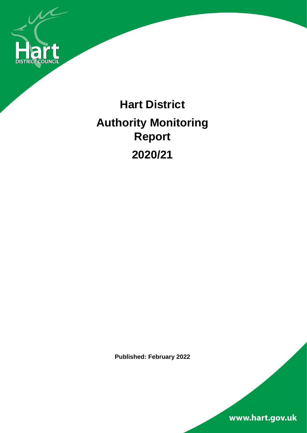

# **Hart District Authority Monitoring Report 2020/21**

**Published: February 2022**

www.hart.gov.uk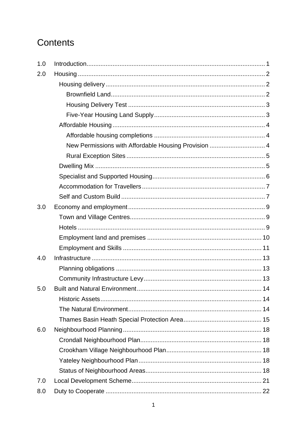## Contents

| 1.0 |                                                      |  |
|-----|------------------------------------------------------|--|
| 2.0 |                                                      |  |
|     |                                                      |  |
|     |                                                      |  |
|     |                                                      |  |
|     |                                                      |  |
|     |                                                      |  |
|     |                                                      |  |
|     | New Permissions with Affordable Housing Provision  4 |  |
|     |                                                      |  |
|     |                                                      |  |
|     |                                                      |  |
|     |                                                      |  |
|     |                                                      |  |
| 3.0 |                                                      |  |
|     |                                                      |  |
|     |                                                      |  |
|     |                                                      |  |
|     |                                                      |  |
| 4.0 |                                                      |  |
|     |                                                      |  |
|     |                                                      |  |
| 5.0 | Built and Natural Environment                        |  |
|     |                                                      |  |
|     |                                                      |  |
|     |                                                      |  |
| 6.0 |                                                      |  |
|     |                                                      |  |
|     |                                                      |  |
|     |                                                      |  |
|     |                                                      |  |
| 7.0 |                                                      |  |
| 8.0 |                                                      |  |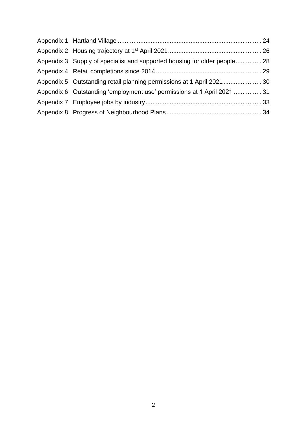| Appendix 3 Supply of specialist and supported housing for older people 28 |  |
|---------------------------------------------------------------------------|--|
|                                                                           |  |
| Appendix 5 Outstanding retail planning permissions at 1 April 2021 30     |  |
| Appendix 6 Outstanding 'employment use' permissions at 1 April 2021  31   |  |
|                                                                           |  |
|                                                                           |  |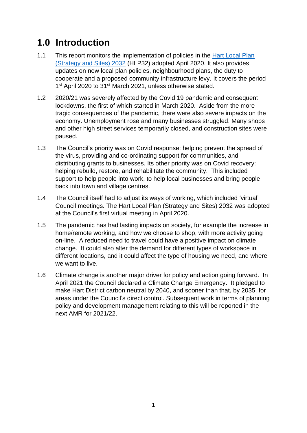## <span id="page-3-0"></span>**1.0 Introduction**

- 1.1 This report monitors the implementation of policies in the Hart Local Plan [\(Strategy and Sites\) 2032](https://www.hart.gov.uk/sites/default/files/4_The_Council/Policies_and_published_documents/Planning_policy/Hart%20LPS%26S.pdf) (HLP32) adopted April 2020. It also provides updates on new local plan policies, neighbourhood plans, the duty to cooperate and a proposed community infrastructure levy. It covers the period 1<sup>st</sup> April 2020 to 31<sup>st</sup> March 2021, unless otherwise stated.
- 1.2 2020/21 was severely affected by the Covid 19 pandemic and consequent lockdowns, the first of which started in March 2020. Aside from the more tragic consequences of the pandemic, there were also severe impacts on the economy. Unemployment rose and many businesses struggled. Many shops and other high street services temporarily closed, and construction sites were paused.
- 1.3 The Council's priority was on Covid response: helping prevent the spread of the virus, providing and co-ordinating support for communities, and distributing grants to businesses. Its other priority was on Covid recovery: helping rebuild, restore, and rehabilitate the community. This included support to help people into work, to help local businesses and bring people back into town and village centres.
- 1.4 The Council itself had to adjust its ways of working, which included 'virtual' Council meetings. The Hart Local Plan (Strategy and Sites) 2032 was adopted at the Council's first virtual meeting in April 2020.
- 1.5 The pandemic has had lasting impacts on society, for example the increase in home/remote working, and how we choose to shop, with more activity going on-line. A reduced need to travel could have a positive impact on climate change. It could also alter the demand for different types of workspace in different locations, and it could affect the type of housing we need, and where we want to live.
- 1.6 Climate change is another major driver for policy and action going forward. In April 2021 the Council declared a Climate Change Emergency. It pledged to make Hart District carbon neutral by 2040, and sooner than that, by 2035, for areas under the Council's direct control. Subsequent work in terms of planning policy and development management relating to this will be reported in the next AMR for 2021/22.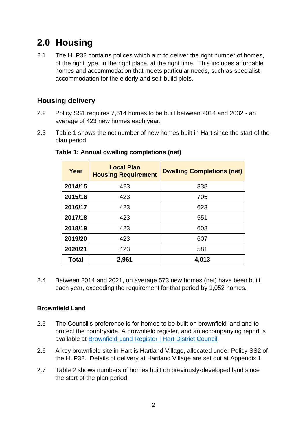## <span id="page-4-0"></span>**2.0 Housing**

2.1 The HLP32 contains polices which aim to deliver the right number of homes, of the right type, in the right place, at the right time. This includes affordable homes and accommodation that meets particular needs, such as specialist accommodation for the elderly and self-build plots.

#### <span id="page-4-1"></span>**Housing delivery**

- 2.2 Policy SS1 requires 7,614 homes to be built between 2014 and 2032 an average of 423 new homes each year.
- 2.3 Table 1 shows the net number of new homes built in Hart since the start of the plan period.

| Year    | <b>Local Plan</b><br><b>Housing Requirement</b> | <b>Dwelling Completions (net)</b> |  |  |
|---------|-------------------------------------------------|-----------------------------------|--|--|
| 2014/15 | 423                                             | 338                               |  |  |
| 2015/16 | 423                                             | 705                               |  |  |
| 2016/17 | 423                                             | 623                               |  |  |
| 2017/18 | 423                                             | 551                               |  |  |
| 2018/19 | 423                                             | 608                               |  |  |
| 2019/20 | 423                                             | 607                               |  |  |
| 2020/21 | 423                                             | 581                               |  |  |
| Total   | 2,961                                           | 4,013                             |  |  |

#### **Table 1: Annual dwelling completions (net)**

2.4 Between 2014 and 2021, on average 573 new homes (net) have been built each year, exceeding the requirement for that period by 1,052 homes.

#### <span id="page-4-2"></span>**Brownfield Land**

- 2.5 The Council's preference is for homes to be built on brownfield land and to protect the countryside. A brownfield register, and an accompanying report is available at [Brownfield Land Register](https://www.hart.gov.uk/brownfield-land-register) | Hart District Council.
- 2.6 A key brownfield site in Hart is Hartland Village, allocated under Policy SS2 of the HLP32. Details of delivery at Hartland Village are set out at Appendix 1.
- 2.7 Table 2 shows numbers of homes built on previously-developed land since the start of the plan period.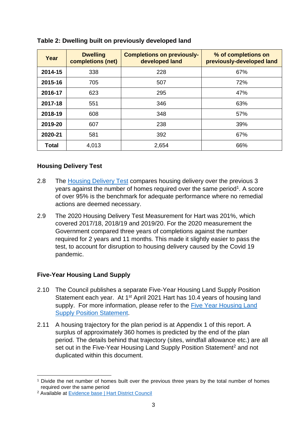| Year         | <b>Dwelling</b><br>completions (net) | <b>Completions on previously-</b><br>developed land | % of completions on<br>previously-developed land |
|--------------|--------------------------------------|-----------------------------------------------------|--------------------------------------------------|
| 2014-15      | 338                                  | 228                                                 | 67%                                              |
| 2015-16      | 705                                  | 507                                                 | 72%                                              |
| 2016-17      | 623                                  | 295                                                 | 47%                                              |
| 2017-18      | 551                                  | 346                                                 | 63%                                              |
| 2018-19      | 608                                  | 348                                                 | 57%                                              |
| 2019-20      | 607                                  | 238                                                 | 39%                                              |
| 2020-21      | 581                                  | 392                                                 | 67%                                              |
| <b>Total</b> | 4,013                                | 2,654                                               | 66%                                              |

#### **Table 2: Dwelling built on previously developed land**

#### <span id="page-5-0"></span>**Housing Delivery Test**

- 2.8 The [Housing Delivery Test](https://www.gov.uk/government/publications/housing-delivery-test-2020-measurement) compares housing delivery over the previous 3 years against the number of homes required over the same period<sup>1</sup>. A score of over 95% is the benchmark for adequate performance where no remedial actions are deemed necessary.
- 2.9 The 2020 Housing Delivery Test Measurement for Hart was 201%, which covered 2017/18, 2018/19 and 2019/20. For the 2020 measurement the Government compared three years of completions against the number required for 2 years and 11 months. This made it slightly easier to pass the test, to account for disruption to housing delivery caused by the Covid 19 pandemic.

#### <span id="page-5-1"></span>**Five-Year Housing Land Supply**

- 2.10 The Council publishes a separate Five-Year Housing Land Supply Position Statement each year. At 1<sup>st</sup> April 2021 Hart has 10.4 years of housing land supply. For more information, please refer to the Five Year Housing Land [Supply Position Statement.](https://www.hart.gov.uk/sites/default/files/4_The_Council/Policies_and_published_documents/Planning_policy/Five%20Year%20Housing%20Supply%20Position%20Statement%20at%20April%202021.pdf)
- 2.11 A housing trajectory for the plan period is at Appendix 1 of this report. A surplus of approximately 360 homes is predicted by the end of the plan period. The details behind that trajectory (sites, windfall allowance etc.) are all set out in the Five-Year Housing Land Supply Position Statement<sup>2</sup> and not duplicated within this document.

<sup>1</sup> Divide the net number of homes built over the previous three years by the total number of homes required over the same period

<sup>2</sup> Available at [Evidence base | Hart District Council](https://www.hart.gov.uk/Evidence-base)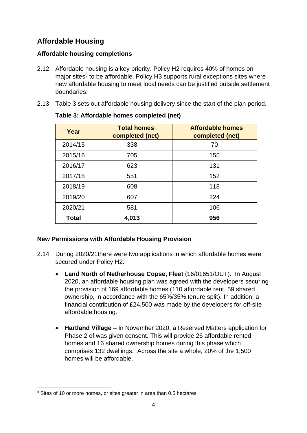### <span id="page-6-0"></span>**Affordable Housing**

#### <span id="page-6-1"></span>**Affordable housing completions**

- 2.12 Affordable housing is a key priority. Policy H2 requires 40% of homes on major sites<sup>3</sup> to be affordable. Policy H3 supports rural exceptions sites where new affordable housing to meet local needs can be justified outside settlement boundaries.
- 2.13 Table 3 sets out affordable housing delivery since the start of the plan period.

| Year         | <b>Total homes</b><br>completed (net) | <b>Affordable homes</b><br>completed (net) |  |
|--------------|---------------------------------------|--------------------------------------------|--|
| 2014/15      | 338                                   | 70                                         |  |
| 2015/16      | 705                                   | 155                                        |  |
| 2016/17      | 623                                   | 131                                        |  |
| 2017/18      | 551                                   | 152                                        |  |
| 2018/19      | 608                                   | 118                                        |  |
| 2019/20      | 224<br>607                            |                                            |  |
| 2020/21      | 581                                   | 106                                        |  |
| <b>Total</b> | 4,013                                 | 956                                        |  |

#### **Table 3: Affordable homes completed (net)**

#### <span id="page-6-2"></span>**New Permissions with Affordable Housing Provision**

- 2.14 During 2020/21there were two applications in which affordable homes were secured under Policy H2:
	- **Land North of Netherhouse Copse, Fleet** (16/01651/OUT). In August 2020, an affordable housing plan was agreed with the developers securing the provision of 169 affordable homes (110 affordable rent, 59 shared ownership, in accordance with the 65%/35% tenure split). In addition, a financial contribution of £24,500 was made by the developers for off-site affordable housing.
	- **Hartland Village** In November 2020, a Reserved Matters application for Phase 2 of was given consent. This will provide 26 affordable rented homes and 16 shared ownership homes during this phase which comprises 132 dwellings. Across the site a whole, 20% of the 1,500 homes will be affordable.

<sup>&</sup>lt;sup>3</sup> Sites of 10 or more homes, or sites greater in area than 0.5 hectares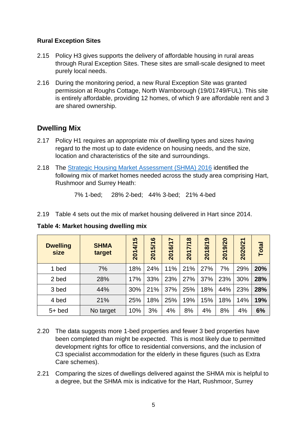#### <span id="page-7-0"></span>**Rural Exception Sites**

- 2.15 Policy H3 gives supports the delivery of affordable housing in rural areas through Rural Exception Sites. These sites are small-scale designed to meet purely local needs.
- 2.16 During the monitoring period, a new Rural Exception Site was granted permission at Roughs Cottage, North Warnborough (19/01749/FUL). This site is entirely affordable, providing 12 homes, of which 9 are affordable rent and 3 are shared ownership.

#### <span id="page-7-1"></span>**Dwelling Mix**

- 2.17 Policy H1 requires an appropriate mix of dwelling types and sizes having regard to the most up to date evidence on housing needs, and the size, location and characteristics of the site and surroundings.
- 2.18 The [Strategic Housing Market Assessment \(SHMA\)](https://www.hart.gov.uk/sites/default/files/4_The_Council/Policies_and_published_documents/Planning_policy/HRSH%20SHMA%20Main%20Report%20Final%20161125.pdf) 2016 identified the following mix of market homes needed across the study area comprising Hart, Rushmoor and Surrey Heath:

7% 1-bed; 28% 2-bed; 44% 3-bed; 21% 4-bed

2.19 Table 4 sets out the mix of market housing delivered in Hart since 2014.

**Table 4: Market housing dwelling mix**

| <b>Dwelling</b><br>size | <b>SHMA</b><br>target | 5<br>2014/1 | ဖ<br>57<br>201 | 6/17<br>201 | $\infty$<br>2017/1 | ၜ<br>2018/1 | 9/20<br>201 | 2020/21 | <b>Total</b> |
|-------------------------|-----------------------|-------------|----------------|-------------|--------------------|-------------|-------------|---------|--------------|
| 1 bed                   | 7%                    | 18%         | 24%            | 11%         | 21%                | 27%         | 7%          | 29%     | 20%          |
| 2 bed                   | 28%                   | 17%         | 33%            | 23%         | 27%                | 37%         | 23%         | 30%     | 28%          |
| 3 bed                   | 44%                   | 30%         | 21%            | 37%         | 25%                | 18%         | 44%         | 23%     | 28%          |
| 4 bed                   | 21%                   | 25%         | 18%            | 25%         | 19%                | 15%         | 18%         | 14%     | 19%          |
| $5+$ bed                | No target             | 10%         | 3%             | 4%          | 8%                 | 4%          | 8%          | 4%      | 6%           |

- 2.20 The data suggests more 1-bed properties and fewer 3 bed properties have been completed than might be expected. This is most likely due to permitted development rights for office to residential conversions, and the inclusion of C3 specialist accommodation for the elderly in these figures (such as Extra Care schemes).
- 2.21 Comparing the sizes of dwellings delivered against the SHMA mix is helpful to a degree, but the SHMA mix is indicative for the Hart, Rushmoor, Surrey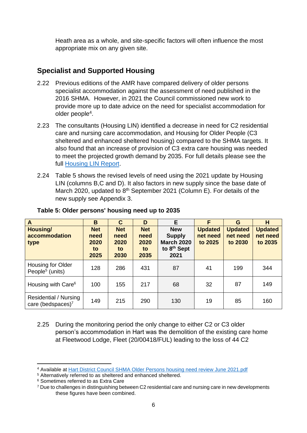Heath area as a whole, and site-specific factors will often influence the most appropriate mix on any given site.

#### <span id="page-8-0"></span>**Specialist and Supported Housing**

- 2.22 Previous editions of the AMR have compared delivery of older persons specialist accommodation against the assessment of need published in the 2016 SHMA. However, in 2021 the Council commissioned new work to provide more up to date advice on the need for specialist accommodation for older people<sup>4</sup>.
- 2.23 The consultants (Housing LIN) identified a decrease in need for C2 residential care and nursing care accommodation, and Housing for Older People (C3 sheltered and enhanced sheltered housing) compared to the SHMA targets. It also found that an increase of provision of C3 extra care housing was needed to meet the projected growth demand by 2035. For full details please see the full [Housing LIN Report.](https://www.hart.gov.uk/sites/default/files/4_The_Council/Policies_and_published_documents/Planning_policy/Hart%20District%20Council%20SHMA%20Older%20Persons%20housing%20need%20review%20June%202021.pdf)
- 2.24 Table 5 shows the revised levels of need using the 2021 update by Housing LIN (columns B,C and D). It also factors in new supply since the base date of March 2020, updated to 8<sup>th</sup> September 2021 (Column E). For details of the new supply see Appendix 3.

| A                                                | B                                        | C                                        | D                                        | E.                                                                                  | F                                     | G                                     | H                                     |
|--------------------------------------------------|------------------------------------------|------------------------------------------|------------------------------------------|-------------------------------------------------------------------------------------|---------------------------------------|---------------------------------------|---------------------------------------|
| Housing/<br>accommodation<br>type                | <b>Net</b><br>need<br>2020<br>to<br>2025 | <b>Net</b><br>need<br>2020<br>to<br>2030 | <b>Net</b><br>need<br>2020<br>to<br>2035 | <b>New</b><br><b>Supply</b><br><b>March 2020</b><br>to 8 <sup>th</sup> Sept<br>2021 | <b>Updated</b><br>net need<br>to 2025 | <b>Updated</b><br>net need<br>to 2030 | <b>Updated</b><br>net need<br>to 2035 |
| Housing for Older<br>People <sup>5</sup> (units) | 128                                      | 286                                      | 431                                      | 87                                                                                  | 41                                    | 199                                   | 344                                   |
| Housing with Care <sup>6</sup>                   | 100                                      | 155                                      | 217                                      | 68                                                                                  | 32                                    | 87                                    | 149                                   |
| Residential / Nursing<br>care (bedspaces) $7$    | 149                                      | 215                                      | 290                                      | 130                                                                                 | 19                                    | 85                                    | 160                                   |

#### **Table 5: Older persons' housing need up to 2035**

2.25 During the monitoring period the only change to either C2 or C3 older person's accommodation in Hart was the demolition of the existing care home at Fleetwood Lodge, Fleet (20/00418/FUL) leading to the loss of 44 C2

<sup>4</sup> Available at [Hart District Council SHMA Older Persons](https://www.hart.gov.uk/sites/default/files/4_The_Council/Policies_and_published_documents/Planning_policy/Hart%20District%20Council%20SHMA%20Older%20Persons%20housing%20need%20review%20June%202021.pdf) housing need review June 2021.pdf

<sup>&</sup>lt;sup>5</sup> Alternatively referred to as sheltered and enhanced sheltered.

<sup>6</sup> Sometimes referred to as Extra Care

<sup>7</sup> Due to challenges in distinguishing between C2 residential care and nursing care in new developments these figures have been combined.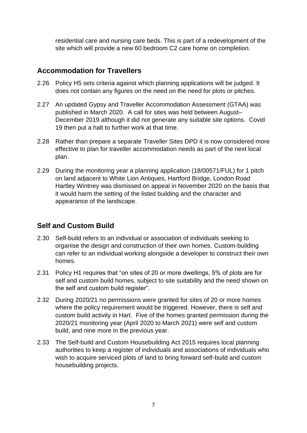residential care and nursing care beds. This is part of a redevelopment of the site which will provide a new 60 bedroom C2 care home on completion.

#### <span id="page-9-0"></span>**Accommodation for Travellers**

- 2.26 Policy H5 sets criteria against which planning applications will be judged. It does not contain any figures on the need on the need for plots or pitches.
- 2.27 An updated Gypsy and Traveller Accommodation Assessment (GTAA) was published in March 2020. A call for sites was held between August– December 2019 although it did not generate any suitable site options. Covid 19 then put a halt to further work at that time.
- 2.28 Rather than prepare a separate Traveller Sites DPD it is now considered more effective to plan for traveller accommodation needs as part of the next local plan.
- 2.29 During the monitoring year a planning application (18/00571/FUL) for 1 pitch on land adjacent to White Lion Antiques, Hartford Bridge, London Road Hartley Wintney was dismissed on appeal in November 2020 on the basis that it would harm the setting of the listed building and the character and appearance of the landscape.

#### <span id="page-9-1"></span>**Self and Custom Build**

- 2.30 Self-build refers to an individual or association of individuals seeking to organise the design and construction of their own homes. Custom-building can refer to an individual working alongside a developer to construct their own homes.
- 2.31 Policy H1 requires that "on sites of 20 or more dwellings, 5% of plots are for self and custom build homes, subject to site suitability and the need shown on the self and custom build register".
- 2.32 During 2020/21 no permissions were granted for sites of 20 or more homes where the policy requirement would be triggered. However, there is self and custom build activity in Hart. Five of the homes granted permission during the 2020/21 monitoring year (April 2020 to March 2021) were self and custom build, and nine more in the previous year.
- 2.33 The Self-build and Custom Housebuilding Act 2015 requires local planning authorities to keep a register of individuals and associations of individuals who wish to acquire serviced plots of land to bring forward self-build and custom housebuilding projects.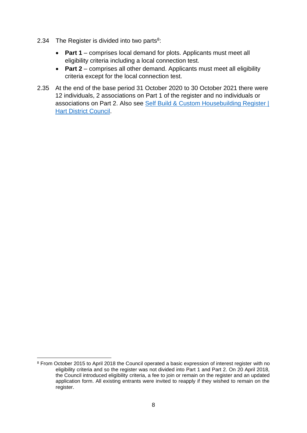- 2.34 The Register is divided into two parts $8$ :
	- **Part 1** comprises local demand for plots. Applicants must meet all eligibility criteria including a local connection test.
	- **Part 2** comprises all other demand. Applicants must meet all eligibility criteria except for the local connection test.
- 2.35 At the end of the base period 31 October 2020 to 30 October 2021 there were 12 individuals, 2 associations on Part 1 of the register and no individuals or associations on Part 2. Also see [Self Build & Custom Housebuilding Register |](https://www.hart.gov.uk/self-build-custom-housebuilding-register)  [Hart District Council.](https://www.hart.gov.uk/self-build-custom-housebuilding-register)

<sup>&</sup>lt;sup>8</sup> From October 2015 to April 2018 the Council operated a basic expression of interest register with no eligibility criteria and so the register was not divided into Part 1 and Part 2. On 20 April 2018, the Council introduced eligibility criteria, a fee to join or remain on the register and an updated application form. All existing entrants were invited to reapply if they wished to remain on the register.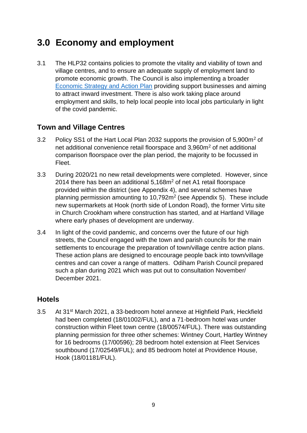## <span id="page-11-0"></span>**3.0 Economy and employment**

3.1 The HLP32 contains policies to promote the vitality and viability of town and village centres, and to ensure an adequate supply of employment land to promote economic growth. The Council is also implementing a broader [Economic Strategy and Action Plan](https://www.hart.gov.uk/strategic-projects-council) providing support businesses and aiming to attract inward investment. There is also work taking place around employment and skills, to help local people into local jobs particularly in light of the covid pandemic.

#### <span id="page-11-1"></span>**Town and Village Centres**

- 3.2 Policy SS1 of the Hart Local Plan 2032 supports the provision of 5,900m<sup>2</sup> of net additional convenience retail floorspace and 3,960m<sup>2</sup> of net additional comparison floorspace over the plan period, the majority to be focussed in Fleet.
- 3.3 During 2020/21 no new retail developments were completed. However, since 2014 there has been an additional 5,168m<sup>2</sup> of net A1 retail floorspace provided within the district (see Appendix 4), and several schemes have planning permission amounting to  $10,792m^2$  (see Appendix 5). These include new supermarkets at Hook (north side of London Road), the former Virtu site in Church Crookham where construction has started, and at Hartland Village where early phases of development are underway.
- 3.4 In light of the covid pandemic, and concerns over the future of our high streets, the Council engaged with the town and parish councils for the main settlements to encourage the preparation of town/village centre action plans. These action plans are designed to encourage people back into town/village centres and can cover a range of matters. Odiham Parish Council prepared such a plan during 2021 which was put out to consultation November/ December 2021.

#### <span id="page-11-2"></span>**Hotels**

3.5 At 31st March 2021, a 33-bedroom hotel annexe at Highfield Park, Heckfield had been completed (18/01002/FUL), and a 71-bedroom hotel was under construction within Fleet town centre (18/00574/FUL). There was outstanding planning permission for three other schemes: Wintney Court, Hartley Wintney for 16 bedrooms (17/00596); 28 bedroom hotel extension at Fleet Services southbound (17/02549/FUL); and 85 bedroom hotel at Providence House, Hook (18/01181/FUL).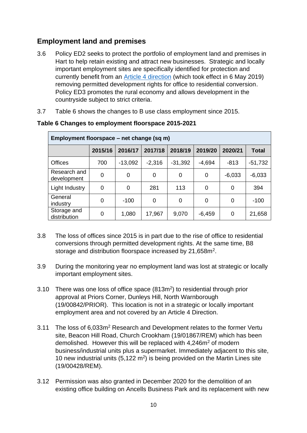#### <span id="page-12-0"></span>**Employment land and premises**

- 3.6 Policy ED2 seeks to protect the portfolio of employment land and premises in Hart to help retain existing and attract new businesses. Strategic and locally important employment sites are specifically identified for protection and currently benefit from an [Article 4 direction](https://www.hart.gov.uk/article-4-direction-employment-land) (which took effect in 6 May 2019) removing permitted development rights for office to residential conversion. Policy ED3 promotes the rural economy and allows development in the countryside subject to strict criteria.
- 3.7 Table 6 shows the changes to B use class employment since 2015.

| Employment floorspace – net change (sq m) |         |           |          |           |          |          |              |
|-------------------------------------------|---------|-----------|----------|-----------|----------|----------|--------------|
|                                           | 2015/16 | 2016/17   | 2017/18  | 2018/19   | 2019/20  | 2020/21  | <b>Total</b> |
| <b>Offices</b>                            | 700     | $-13,092$ | $-2,316$ | $-31,392$ | $-4,694$ | $-813$   | $-51,732$    |
| Research and<br>development               | 0       | 0         | 0        | 0         | 0        | $-6,033$ | $-6,033$     |
| Light Industry                            | 0       | 0         | 281      | 113       | 0        | 0        | 394          |
| General<br>industry                       | 0       | $-100$    | 0        | 0         | 0        | 0        | $-100$       |
| Storage and<br>distribution               | 0       | 1,080     | 17,967   | 9,070     | $-6,459$ | 0        | 21,658       |

#### **Table 6 Changes to employment floorspace 2015-2021**

- 3.8 The loss of offices since 2015 is in part due to the rise of office to residential conversions through permitted development rights. At the same time, B8 storage and distribution floorspace increased by 21,658m<sup>2</sup>.
- 3.9 During the monitoring year no employment land was lost at strategic or locally important employment sites.
- 3.10 There was one loss of office space  $(813m<sup>2</sup>)$  to residential through prior approval at Priors Corner, Dunleys Hill, North Warnborough (19/00842/PRIOR). This location is not in a strategic or locally important employment area and not covered by an Article 4 Direction.
- 3.11 The loss of 6,033m<sup>2</sup> Research and Development relates to the former Vertu site, Beacon Hill Road, Church Crookham (19/01867/REM) which has been demolished. However this will be replaced with 4,246m<sup>2</sup> of modern business/industrial units plus a supermarket. Immediately adjacent to this site, 10 new industrial units  $(5,122 \text{ m}^2)$  is being provided on the Martin Lines site (19/00428/REM).
- 3.12 Permission was also granted in December 2020 for the demolition of an existing office building on Ancells Business Park and its replacement with new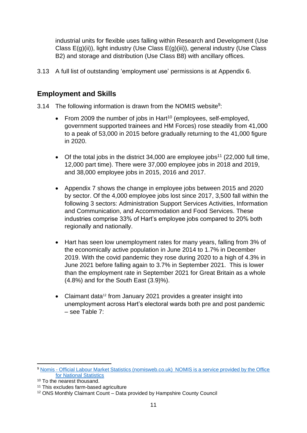industrial units for flexible uses falling within Research and Development (Use Class E(g)(ii)), light industry (Use Class E(g)(iii)), general industry (Use Class B2) and storage and distribution (Use Class B8) with ancillary offices.

3.13 A full list of outstanding 'employment use' permissions is at Appendix 6.

#### <span id="page-13-0"></span>**Employment and Skills**

- 3.14 The following information is drawn from the NOMIS website $9$ :
	- From 2009 the number of jobs in Hart<sup>10</sup> (employees, self-employed, government supported trainees and HM Forces) rose steadily from 41,000 to a peak of 53,000 in 2015 before gradually returning to the 41,000 figure in 2020.
	- Of the total jobs in the district 34,000 are employee jobs<sup>11</sup> (22,000 full time, 12,000 part time). There were 37,000 employee jobs in 2018 and 2019, and 38,000 employee jobs in 2015, 2016 and 2017.
	- Appendix 7 shows the change in employee jobs between 2015 and 2020 by sector. Of the 4,000 employee jobs lost since 2017, 3,500 fall within the following 3 sectors: Administration Support Services Activities, Information and Communication, and Accommodation and Food Services. These industries comprise 33% of Hart's employee jobs compared to 20% both regionally and nationally.
	- Hart has seen low unemployment rates for many years, falling from 3% of the economically active population in June 2014 to 1.7% in December 2019. With the covid pandemic they rose during 2020 to a high of 4.3% in June 2021 before falling again to 3.7% in September 2021. This is lower than the employment rate in September 2021 for Great Britain as a whole (4.8%) and for the South East (3.9)%).
	- Claimant data<sup>12</sup> from January 2021 provides a greater insight into unemployment across Hart's electoral wards both pre and post pandemic – see Table 7:

<sup>9</sup> Nomis - [Official Labour Market Statistics \(nomisweb.co.uk\)](https://www.nomisweb.co.uk/) NOMIS is a service provided by the Office for National Statistics

<sup>10</sup> To the nearest thousand.

<sup>11</sup> This excludes farm-based agriculture

<sup>12</sup> ONS Monthly Claimant Count – Data provided by Hampshire County Council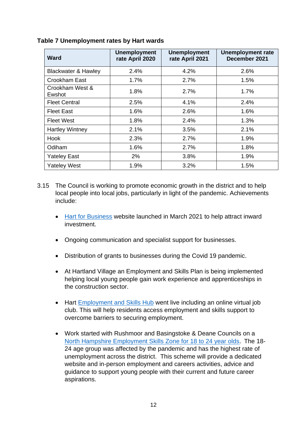| <b>Ward</b>                    | <b>Unemployment</b><br>rate April 2020 | <b>Unemployment</b><br>rate April 2021 | <b>Unemployment rate</b><br>December 2021 |
|--------------------------------|----------------------------------------|----------------------------------------|-------------------------------------------|
| <b>Blackwater &amp; Hawley</b> | 2.4%                                   | 4.2%                                   | 2.6%                                      |
| Crookham East                  | 1.7%                                   | 2.7%                                   | 1.5%                                      |
| Crookham West &<br>Ewshot      | 1.8%                                   | 2.7%                                   | 1.7%                                      |
| <b>Fleet Central</b>           | 2.5%                                   | 4.1%                                   | 2.4%                                      |
| <b>Fleet East</b>              | 1.6%                                   | 2.6%                                   | 1.6%                                      |
| <b>Fleet West</b>              | 1.8%                                   | 2.4%                                   | 1.3%                                      |
| <b>Hartley Wintney</b>         | 2.1%                                   | 3.5%                                   | 2.1%                                      |
| <b>Hook</b>                    | 2.3%                                   | 2.7%                                   | 1.9%                                      |
| Odiham                         | 1.6%                                   | 2.7%                                   | 1.8%                                      |
| <b>Yateley East</b>            | 2%                                     | 3.8%                                   | 1.9%                                      |
| <b>Yateley West</b>            | 1.9%                                   | 3.2%                                   | 1.5%                                      |

#### **Table 7 Unemployment rates by Hart wards**

- 3.15 The Council is working to promote economic growth in the district and to help local people into local jobs, particularly in light of the pandemic. Achievements include:
	- [Hart for Business](https://www.hartforbusiness.co.uk/) website launched in March 2021 to help attract inward investment.
	- Ongoing communication and specialist support for businesses.
	- Distribution of grants to businesses during the Covid 19 pandemic.
	- At Hartland Village an Employment and Skills Plan is being implemented helping local young people gain work experience and apprenticeships in the construction sector.
	- Hart [Employment and Skills Hub](https://www.hart.gov.uk/employment-and-skills) went live including an online virtual job club. This will help residents access employment and skills support to overcome barriers to securing employment.
	- Work started with Rushmoor and Basingstoke & Deane Councils on a [North Hampshire Employment Skills Zone for 18 to 24 year olds.](https://esznorthhants.org.uk/) The 18- 24 age group was affected by the pandemic and has the highest rate of unemployment across the district. This scheme will provide a dedicated website and in-person employment and careers activities, advice and guidance to support young people with their current and future career aspirations.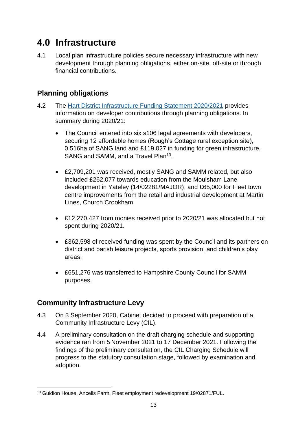## <span id="page-15-0"></span>**4.0 Infrastructure**

4.1 Local plan infrastructure policies secure necessary infrastructure with new development through planning obligations, either on-site, off-site or through financial contributions.

#### <span id="page-15-1"></span>**Planning obligations**

- 4.2 The [Hart District Infrastructure Funding Statement 2020/2021](https://www.hart.gov.uk/sites/default/files/4_The_Council/Policies_and_published_documents/Planning_policy/Final%20version%202%20corrected%20IFS%2020-21_1.pdf) provides information on developer contributions through planning obligations. In summary during 2020/21:
	- The Council entered into six s106 legal agreements with developers, securing 12 affordable homes (Rough's Cottage rural exception site), 0.516ha of SANG land and £119,027 in funding for green infrastructure, SANG and SAMM, and a Travel Plan<sup>13</sup>.
	- £2,709,201 was received, mostly SANG and SAMM related, but also included £262,077 towards education from the Moulsham Lane development in Yateley (14/02281/MAJOR), and £65,000 for Fleet town centre improvements from the retail and industrial development at Martin Lines, Church Crookham.
	- £12,270,427 from monies received prior to 2020/21 was allocated but not spent during 2020/21.
	- £362,598 of received funding was spent by the Council and its partners on district and parish leisure projects, sports provision, and children's play areas.
	- £651,276 was transferred to Hampshire County Council for SAMM purposes.

#### <span id="page-15-2"></span>**Community Infrastructure Levy**

- 4.3 On 3 September 2020, Cabinet decided to proceed with preparation of a Community Infrastructure Levy (CIL).
- 4.4 A preliminary consultation on the draft charging schedule and supporting evidence ran from 5 November 2021 to 17 December 2021. Following the findings of the preliminary consultation, the CIL Charging Schedule will progress to the statutory consultation stage, followed by examination and adoption.

<sup>13</sup> Guidion House, Ancells Farm, Fleet employment redevelopment 19/02871/FUL.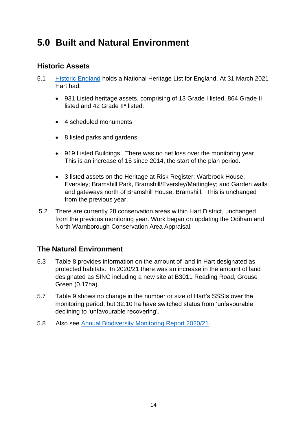## <span id="page-16-0"></span>**5.0 Built and Natural Environment**

#### <span id="page-16-1"></span>**Historic Assets**

- 5.1 [Historic England](https://historicengland.org.uk/) holds a National Heritage List for England. At 31 March 2021 Hart had:
	- 931 Listed heritage assets, comprising of 13 Grade I listed, 864 Grade II listed and 42 Grade II\* listed.
	- 4 scheduled monuments
	- 8 listed parks and gardens.
	- 919 Listed Buildings. There was no net loss over the monitoring year. This is an increase of 15 since 2014, the start of the plan period.
	- 3 listed assets on the Heritage at Risk Register: Warbrook House, Eversley; Bramshill Park, Bramshill/Eversley/Mattingley; and Garden walls and gateways north of Bramshill House, Bramshill. This is unchanged from the previous year.
- 5.2 There are currently 28 conservation areas within Hart District, unchanged from the previous monitoring year. Work began on updating the Odiham and North Warnborough Conservation Area Appraisal.

#### <span id="page-16-2"></span>**The Natural Environment**

- 5.3 Table 8 provides information on the amount of land in Hart designated as protected habitats. In 2020/21 there was an increase in the amount of land designated as SINC including a new site at B3011 Reading Road, Grouse Green (0.17ha).
- 5.7 Table 9 shows no change in the number or size of Hart's SSSIs over the monitoring period, but 32.10 ha have switched status from 'unfavourable declining to 'unfavourable recovering'.
- 5.8 Also see [Annual Biodiversity Monitoring Report 2020/21.](Annual%20Biodiversity%20Monitoring%20Report%202020/21)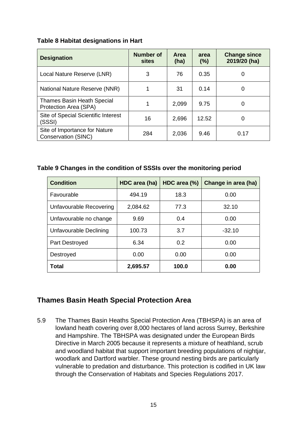#### **Table 8 Habitat designations in Hart**

| <b>Designation</b>                                         | <b>Number of</b><br>sites | Area<br>(ha) | area<br>(%) | <b>Change since</b><br>2019/20 (ha) |
|------------------------------------------------------------|---------------------------|--------------|-------------|-------------------------------------|
| Local Nature Reserve (LNR)                                 | 3                         | 76           | 0.35        | 0                                   |
| National Nature Reserve (NNR)                              |                           | 31           | 0.14        | 0                                   |
| <b>Thames Basin Heath Special</b><br>Protection Area (SPA) |                           | 2,099        | 9.75        | 0                                   |
| Site of Special Scientific Interest<br>(SSSI)              | 16                        | 2,696        | 12.52       | 0                                   |
| Site of Importance for Nature<br>Conservation (SINC)       | 284                       | 2,036        | 9.46        | 0.17                                |

#### **Table 9 Changes in the condition of SSSIs over the monitoring period**

| <b>Condition</b>        | HDC area (ha) | HDC area (%) | Change in area (ha) |
|-------------------------|---------------|--------------|---------------------|
| Favourable              | 494.19        | 18.3         | 0.00                |
| Unfavourable Recovering | 2,084.62      | 77.3         | 32.10               |
| Unfavourable no change  | 9.69          | 0.4          | 0.00                |
| Unfavourable Declining  | 100.73        | 3.7          | $-32.10$            |
| Part Destroyed          | 6.34          | 0.2          | 0.00                |
| Destroyed               | 0.00          | 0.00         | 0.00                |
| Total                   | 2,695.57      | 100.0        | 0.00                |

#### <span id="page-17-0"></span>**Thames Basin Heath Special Protection Area**

5.9 The Thames Basin Heaths Special Protection Area (TBHSPA) is an area of lowland heath covering over 8,000 hectares of land across Surrey, Berkshire and Hampshire. The TBHSPA was designated under the European Birds Directive in March 2005 because it represents a mixture of heathland, scrub and woodland habitat that support important breeding populations of nightjar, woodlark and Dartford warbler. These ground nesting birds are particularly vulnerable to predation and disturbance. This protection is codified in UK law through the Conservation of Habitats and Species Regulations 2017.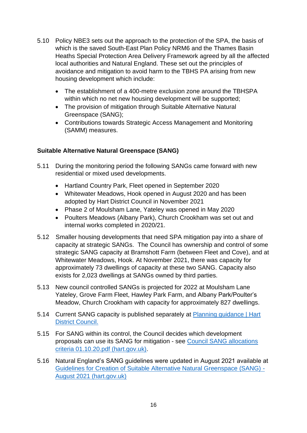- 5.10 Policy NBE3 sets out the approach to the protection of the SPA, the basis of which is the saved South-East Plan Policy NRM6 and the Thames Basin Heaths Special Protection Area Delivery Framework agreed by all the affected local authorities and Natural England. These set out the principles of avoidance and mitigation to avoid harm to the TBHS PA arising from new housing development which include:
	- The establishment of a 400-metre exclusion zone around the TBHSPA within which no net new housing development will be supported;
	- The provision of mitigation through Suitable Alternative Natural Greenspace (SANG);
	- Contributions towards Strategic Access Management and Monitoring (SAMM) measures.

#### **Suitable Alternative Natural Greenspace (SANG)**

- 5.11 During the monitoring period the following SANGs came forward with new residential or mixed used developments.
	- Hartland Country Park, Fleet opened in September 2020
	- Whitewater Meadows, Hook opened in August 2020 and has been adopted by Hart District Council in November 2021
	- Phase 2 of Moulsham Lane, Yateley was opened in May 2020
	- Poulters Meadows (Albany Park), Church Crookham was set out and internal works completed in 2020/21.
- 5.12 Smaller housing developments that need SPA mitigation pay into a share of capacity at strategic SANGs. The Council has ownership and control of some strategic SANG capacity at Bramshott Farm (between Fleet and Cove), and at Whitewater Meadows, Hook. At November 2021, there was capacity for approximately 73 dwellings of capacity at these two SANG. Capacity also exists for 2,023 dwellings at SANGs owned by third parties.
- 5.13 New council controlled SANGs is projected for 2022 at Moulsham Lane Yateley, Grove Farm Fleet, Hawley Park Farm, and Albany Park/Poulter's Meadow, Church Crookham with capacity for approximately 827 dwellings.
- 5.14 Current SANG capacity is published separately at Planning guidance | Hart [District Council.](https://www.hart.gov.uk/planning-guidance)
- 5.15 For SANG within its control, the Council decides which development proposals can use its SANG for mitigation - see [Council SANG allocations](https://www.hart.gov.uk/sites/default/files/4_The_Council/Policies_and_published_documents/Planning_policy/Council%20SANG%20allocations%20criteria%2001.10.20.pdf)  [criteria 01.10.20.pdf \(hart.gov.uk\).](https://www.hart.gov.uk/sites/default/files/4_The_Council/Policies_and_published_documents/Planning_policy/Council%20SANG%20allocations%20criteria%2001.10.20.pdf)
- 5.16 Natural England's SANG guidelines were updated in August 2021 available at [Guidelines for Creation of Suitable Alternative Natural Greenspace \(SANG\) -](https://www.hart.gov.uk/sites/default/files/4_The_Council/Policies_and_published_documents/Planning_policy/Guidelines%20for%20Creation%20of%20Suitable%20Alternative%20Natural%20Greenspace%20%28SANG%29%20-%20August%202021.pdf) [August 2021 \(hart.gov.uk\)](https://www.hart.gov.uk/sites/default/files/4_The_Council/Policies_and_published_documents/Planning_policy/Guidelines%20for%20Creation%20of%20Suitable%20Alternative%20Natural%20Greenspace%20%28SANG%29%20-%20August%202021.pdf)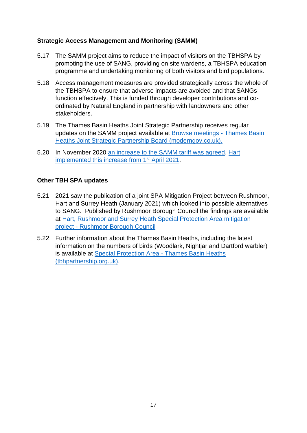#### **Strategic Access Management and Monitoring (SAMM)**

- 5.17 The SAMM project aims to reduce the impact of visitors on the TBHSPA by promoting the use of SANG, providing on site wardens, a TBHSPA education programme and undertaking monitoring of both visitors and bird populations.
- 5.18 Access management measures are provided strategically across the whole of the TBHSPA to ensure that adverse impacts are avoided and that SANGs function effectively. This is funded through developer contributions and coordinated by Natural England in partnership with landowners and other stakeholders.
- 5.19 The Thames Basin Heaths Joint Strategic Partnership receives regular updates on the SAMM project available at [Browse meetings -](https://surreyheath.moderngov.co.uk/ieListMeetings.aspx?CId=316&Year=0) Thames Basin [Heaths Joint Strategic Partnership Board \(moderngov.co.uk\).](https://surreyheath.moderngov.co.uk/ieListMeetings.aspx?CId=316&Year=0)
- 5.20 In November 2020 [an increase to the SAMM tariff was agreed.](https://surreyheath.moderngov.co.uk/ieListDocuments.aspx?CId=316&MId=3398&Ver=4) [Hart](https://www.hart.gov.uk/sites/default/files/4_The_Council/Policies_and_published_documents/Planning_policy/SAMM%20tariff%20-%20single%20rate%20-%20from%201st%20April%202021%20v2_0.pdf)  [implemented this increase from 1](https://www.hart.gov.uk/sites/default/files/4_The_Council/Policies_and_published_documents/Planning_policy/SAMM%20tariff%20-%20single%20rate%20-%20from%201st%20April%202021%20v2_0.pdf)<sup>st</sup> April 2021.

#### **Other TBH SPA updates**

- 5.21 2021 saw the publication of a joint SPA Mitigation Project between Rushmoor, Hart and Surrey Heath (January 2021) which looked into possible alternatives to SANG. Published by Rushmoor Borough Council the findings are available at [Hart, Rushmoor and Surrey Heath Special Protection Area mitigation](https://www.rushmoor.gov.uk/article/12429/Hart-Rushmoor-and-Surrey-Heath-Special-Protection-Area-mitigation-project)  project - [Rushmoor Borough](https://www.rushmoor.gov.uk/article/12429/Hart-Rushmoor-and-Surrey-Heath-Special-Protection-Area-mitigation-project) Council
- 5.22 Further information about the Thames Basin Heaths, including the latest information on the numbers of birds (Woodlark, Nightjar and Dartford warbler) is available at [Special Protection Area -](https://www.tbhpartnership.org.uk/) Thames Basin Heaths [\(tbhpartnership.org.uk\).](https://www.tbhpartnership.org.uk/)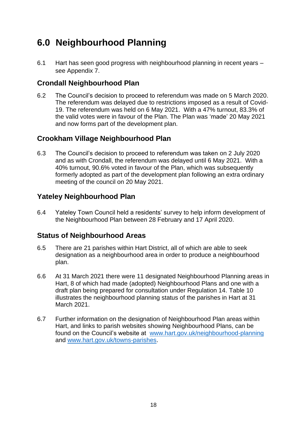## <span id="page-20-0"></span>**6.0 Neighbourhood Planning**

6.1 Hart has seen good progress with neighbourhood planning in recent years – see Appendix 7.

#### <span id="page-20-1"></span>**Crondall Neighbourhood Plan**

6.2 The Council's decision to proceed to referendum was made on 5 March 2020. The referendum was delayed due to restrictions imposed as a result of Covid-19. The referendum was held on 6 May 2021. With a 47% turnout, 83.3% of the valid votes were in favour of the Plan. The Plan was 'made' 20 May 2021 and now forms part of the development plan.

#### <span id="page-20-2"></span>**Crookham Village Neighbourhood Plan**

6.3 The Council's decision to proceed to referendum was taken on 2 July 2020 and as with Crondall, the referendum was delayed until 6 May 2021. With a 40% turnout, 90.6% voted in favour of the Plan, which was subsequently formerly adopted as part of the development plan following an extra ordinary meeting of the council on 20 May 2021.

#### <span id="page-20-3"></span>**Yateley Neighbourhood Plan**

6.4 Yateley Town Council held a residents' survey to help inform development of the Neighbourhood Plan between 28 February and 17 April 2020.

#### <span id="page-20-4"></span>**Status of Neighbourhood Areas**

- 6.5 There are 21 parishes within Hart District, all of which are able to seek designation as a neighbourhood area in order to produce a neighbourhood plan.
- 6.6 At 31 March 2021 there were 11 designated Neighbourhood Planning areas in Hart, 8 of which had made (adopted) Neighbourhood Plans and one with a draft plan being prepared for consultation under Regulation 14. Table 10 illustrates the neighbourhood planning status of the parishes in Hart at 31 March 2021.
- 6.7 Further information on the designation of Neighbourhood Plan areas within Hart, and links to parish websites showing Neighbourhood Plans, can be found on the Council's website at [www.hart.gov.uk/neighbourhood-planning](http://www.hart.gov.uk/neighbourhood-planning) and [www.hart.gov.uk/towns-parishes.](http://www.hart.gov.uk/towns-parishes)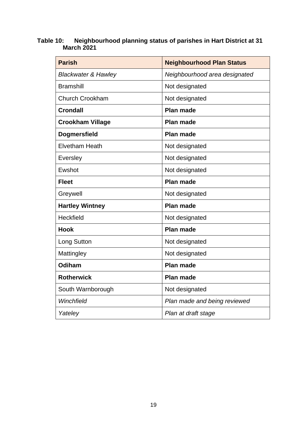#### **Table 10: Neighbourhood planning status of parishes in Hart District at 31 March 2021**

| <b>Parish</b>                  | <b>Neighbourhood Plan Status</b> |
|--------------------------------|----------------------------------|
| <b>Blackwater &amp; Hawley</b> | Neighbourhood area designated    |
| <b>Bramshill</b>               | Not designated                   |
| Church Crookham                | Not designated                   |
| <b>Crondall</b>                | Plan made                        |
| <b>Crookham Village</b>        | <b>Plan made</b>                 |
| <b>Dogmersfield</b>            | <b>Plan made</b>                 |
| <b>Elvetham Heath</b>          | Not designated                   |
| <b>Eversley</b>                | Not designated                   |
| Ewshot                         | Not designated                   |
| <b>Fleet</b>                   | <b>Plan made</b>                 |
| Greywell                       | Not designated                   |
| <b>Hartley Wintney</b>         | Plan made                        |
| Heckfield                      | Not designated                   |
| <b>Hook</b>                    | <b>Plan made</b>                 |
| Long Sutton                    | Not designated                   |
| Mattingley                     | Not designated                   |
| Odiham                         | Plan made                        |
| <b>Rotherwick</b>              | <b>Plan made</b>                 |
| South Warnborough              | Not designated                   |
| Winchfield                     | Plan made and being reviewed     |
| Yateley                        | Plan at draft stage              |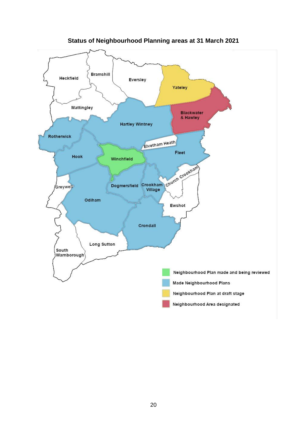

**Status of Neighbourhood Planning areas at 31 March 2021**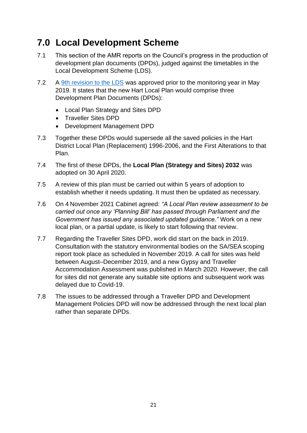## <span id="page-23-0"></span>**7.0 Local Development Scheme**

- 7.1 This section of the AMR reports on the Council's progress in the production of development plan documents (DPDs), judged against the timetables in the Local Development Scheme (LDS).
- 7.2 A [9th revision to the LDS](https://www.hart.gov.uk/sites/default/files/4_The_Council/Policies_and_published_documents/Planning_policy/Local_Plan/LDS%209th%20Revision%20May%202019%20v1.0%20approved%20GC.pdf) was approved prior to the monitoring year in May 2019. It states that the new Hart Local Plan would comprise three Development Plan Documents (DPDs):
	- Local Plan Strategy and Sites DPD
	- Traveller Sites DPD
	- Development Management DPD
- 7.3 Together these DPDs would supersede all the saved policies in the Hart District Local Plan (Replacement) 1996-2006, and the First Alterations to that Plan.
- 7.4 The first of these DPDs, the **Local Plan (Strategy and Sites) 2032** was adopted on 30 April 2020.
- 7.5 A review of this plan must be carried out within 5 years of adoption to establish whether it needs updating. It must then be updated as necessary.
- 7.6 On 4 November 2021 Cabinet agreed: *"A Local Plan review assessment to be carried out once any 'Planning Bill' has passed through Parliament and the Government has issued any associated updated guidance."* Work on a new local plan, or a partial update, is likely to start following that review.
- 7.7 Regarding the Traveller Sites DPD, work did start on the back in 2019. Consultation with the statutory environmental bodies on the SA/SEA scoping report took place as scheduled in November 2019. A call for sites was held between August–December 2019, and a new Gypsy and Traveller Accommodation Assessment was published in March 2020. However, the call for sites did not generate any suitable site options and subsequent work was delayed due to Covid-19.
- 7.8 The issues to be addressed through a Traveller DPD and Development Management Policies DPD will now be addressed through the next local plan rather than separate DPDs.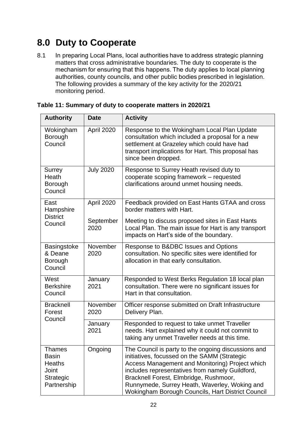## <span id="page-24-0"></span>**8.0 Duty to Cooperate**

8.1 In preparing Local Plans, local authorities have to address strategic planning matters that cross administrative boundaries. The duty to cooperate is the mechanism for ensuring that this happens. The duty applies to local planning authorities, county councils, and other public bodies prescribed in legislation. The following provides a summary of the key activity for the 2020/21 monitoring period.

| <b>Authority</b>                                                                    | <b>Date</b>       | <b>Activity</b>                                                                                                                                                                                                                                                                                                                                           |  |  |  |  |  |
|-------------------------------------------------------------------------------------|-------------------|-----------------------------------------------------------------------------------------------------------------------------------------------------------------------------------------------------------------------------------------------------------------------------------------------------------------------------------------------------------|--|--|--|--|--|
| Wokingham<br>Borough<br>Council                                                     | April 2020        | Response to the Wokingham Local Plan Update<br>consultation which included a proposal for a new<br>settlement at Grazeley which could have had<br>transport implications for Hart. This proposal has<br>since been dropped.                                                                                                                               |  |  |  |  |  |
| <b>Surrey</b><br>Heath<br><b>Borough</b><br>Council                                 | <b>July 2020</b>  | Response to Surrey Heath revised duty to<br>cooperate scoping framework - requested<br>clarifications around unmet housing needs.                                                                                                                                                                                                                         |  |  |  |  |  |
| East<br>Hampshire                                                                   | April 2020        | Feedback provided on East Hants GTAA and cross<br>border matters with Hart.                                                                                                                                                                                                                                                                               |  |  |  |  |  |
| <b>District</b><br>Council                                                          | September<br>2020 | Meeting to discuss proposed sites in East Hants<br>Local Plan. The main issue for Hart is any transport<br>impacts on Hart's side of the boundary.                                                                                                                                                                                                        |  |  |  |  |  |
| Basingstoke<br>& Deane<br>Borough<br>Council                                        | November<br>2020  | Response to B&DBC Issues and Options<br>consultation. No specific sites were identified for<br>allocation in that early consultation.                                                                                                                                                                                                                     |  |  |  |  |  |
| West<br><b>Berkshire</b><br>Council                                                 | January<br>2021   | Responded to West Berks Regulation 18 local plan<br>consultation. There were no significant issues for<br>Hart in that consultation.                                                                                                                                                                                                                      |  |  |  |  |  |
| <b>Bracknell</b><br>Forest                                                          | November<br>2020  | Officer response submitted on Draft Infrastructure<br>Delivery Plan.                                                                                                                                                                                                                                                                                      |  |  |  |  |  |
| Council                                                                             | January<br>2021   | Responded to request to take unmet Traveller<br>needs. Hart explained why it could not commit to<br>taking any unmet Traveller needs at this time.                                                                                                                                                                                                        |  |  |  |  |  |
| <b>Thames</b><br><b>Basin</b><br><b>Heaths</b><br>Joint<br>Strategic<br>Partnership | Ongoing           | The Council is party to the ongoing discussions and<br>initiatives, focussed on the SAMM (Strategic<br>Access Management and Monitoring) Project which<br>includes representatives from namely Guildford,<br>Bracknell Forest, Elmbridge, Rushmoor,<br>Runnymede, Surrey Heath, Waverley, Woking and<br>Wokingham Borough Councils, Hart District Council |  |  |  |  |  |

|  | Table 11: Summary of duty to cooperate matters in 2020/21 |  |  |  |  |
|--|-----------------------------------------------------------|--|--|--|--|
|  |                                                           |  |  |  |  |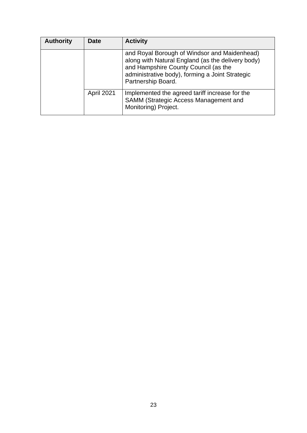| <b>Authority</b> | <b>Date</b> | <b>Activity</b>                                                                                                                                                                                                    |
|------------------|-------------|--------------------------------------------------------------------------------------------------------------------------------------------------------------------------------------------------------------------|
|                  |             | and Royal Borough of Windsor and Maidenhead)<br>along with Natural England (as the delivery body)<br>and Hampshire County Council (as the<br>administrative body), forming a Joint Strategic<br>Partnership Board. |
|                  | April 2021  | Implemented the agreed tariff increase for the<br>SAMM (Strategic Access Management and<br>Monitoring) Project.                                                                                                    |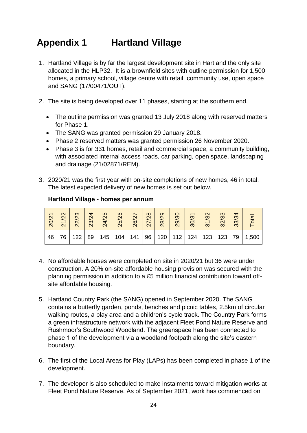## <span id="page-26-0"></span>**Appendix 1 Hartland Village**

- 1. Hartland Village is by far the largest development site in Hart and the only site allocated in the HLP32. It is a brownfield sites with outline permission for 1,500 homes, a primary school, village centre with retail, community use, open space and SANG (17/00471/OUT).
- 2. The site is being developed over 11 phases, starting at the southern end.
	- The outline permission was granted 13 July 2018 along with reserved matters for Phase 1.
	- The SANG was granted permission 29 January 2018.
	- Phase 2 reserved matters was granted permission 26 November 2020.
	- Phase 3 is for 331 homes, retail and commercial space, a community building, with associated internal access roads, car parking, open space, landscaping and drainage (21/02871/REM).
- 3. 2020/21 was the first year with on-site completions of new homes, 46 in total. The latest expected delivery of new homes is set out below.

| 20/21 | 22<br>$\overline{\mathcal{N}}$ | ო<br>$\mathbf{\Omega}$<br>$\mathbf{N}$ | 4<br>23/2 | LO.<br>4/2<br>$\overline{\mathsf{N}}$ | 25/26 | 26/2 | 82<br>27. | တ<br>$\mathsf{N}$<br>28/                           | 29/3 | ო<br>$\widetilde{\mathrm{SO}}$ | 1/32<br>$\infty$ | ო<br>ო<br>32 | S<br>33 | <u>រី។</u> |
|-------|--------------------------------|----------------------------------------|-----------|---------------------------------------|-------|------|-----------|----------------------------------------------------|------|--------------------------------|------------------|--------------|---------|------------|
| 46    | 76                             | . 1122 <sup>17</sup>                   | 89        |                                       |       |      |           | 145   104   141   96   120   112   124   123   123 |      |                                |                  |              | 79      | 1,500      |

#### **Hartland Village - homes per annum**

- 4. No affordable houses were completed on site in 2020/21 but 36 were under construction. A 20% on-site affordable housing provision was secured with the planning permission in addition to a £5 million financial contribution toward offsite affordable housing.
- 5. Hartland Country Park (the SANG) opened in September 2020. The SANG contains a butterfly garden, ponds, benches and picnic tables, 2.5km of circular walking routes, a play area and a children's cycle track. The Country Park forms a green infrastructure network with the adjacent Fleet Pond Nature Reserve and Rushmoor's Southwood Woodland. The greenspace has been connected to phase 1 of the development via a woodland footpath along the site's eastern boundary.
- 6. The first of the Local Areas for Play (LAPs) has been completed in phase 1 of the development.
- 7. The developer is also scheduled to make instalments toward mitigation works at Fleet Pond Nature Reserve. As of September 2021, work has commenced on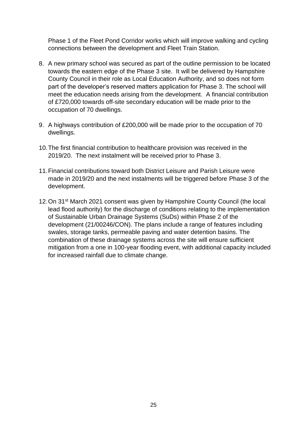Phase 1 of the Fleet Pond Corridor works which will improve walking and cycling connections between the development and Fleet Train Station.

- 8. A new primary school was secured as part of the outline permission to be located towards the eastern edge of the Phase 3 site. It will be delivered by Hampshire County Council in their role as Local Education Authority, and so does not form part of the developer's reserved matters application for Phase 3. The school will meet the education needs arising from the development. A financial contribution of £720,000 towards off-site secondary education will be made prior to the occupation of 70 dwellings.
- 9. A highways contribution of £200,000 will be made prior to the occupation of 70 dwellings.
- 10.The first financial contribution to healthcare provision was received in the 2019/20. The next instalment will be received prior to Phase 3.
- 11.Financial contributions toward both District Leisure and Parish Leisure were made in 2019/20 and the next instalments will be triggered before Phase 3 of the development.
- 12. On 31<sup>st</sup> March 2021 consent was given by Hampshire County Council (the local lead flood authority) for the discharge of conditions relating to the implementation of Sustainable Urban Drainage Systems (SuDs) within Phase 2 of the development (21/00246/CON). The plans include a range of features including swales, storage tanks, permeable paving and water detention basins. The combination of these drainage systems across the site will ensure sufficient mitigation from a one in 100-year flooding event, with additional capacity included for increased rainfall due to climate change.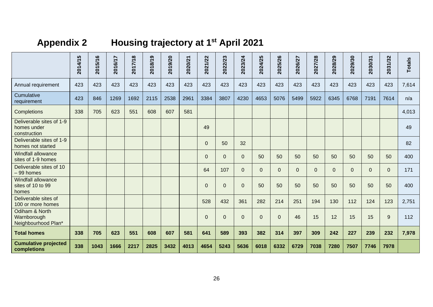## **Appendix 2 Housing trajectory at 1st April 2021**

<span id="page-28-0"></span>

|                                                         | 2014/15 | 2015/16 | 2016/17 | 2017/18 | 2018/19 | 2019/20 | 2020/21 | 2021/22  | 2022/23        | 2023/24      | 2024/25  | 2025/26        | 2026/27        | 2027/28        | 2028/29      | 2029/30     | 2030/31        | 2031/32        | <b>Totals</b> |
|---------------------------------------------------------|---------|---------|---------|---------|---------|---------|---------|----------|----------------|--------------|----------|----------------|----------------|----------------|--------------|-------------|----------------|----------------|---------------|
| Annual requirement                                      | 423     | 423     | 423     | 423     | 423     | 423     | 423     | 423      | 423            | 423          | 423      | 423            | 423            | 423            | 423          | 423         | 423            | 423            | 7,614         |
| Cumulative<br>requirement                               | 423     | 846     | 1269    | 1692    | 2115    | 2538    | 2961    | 3384     | 3807           | 4230         | 4653     | 5076           | 5499           | 5922           | 6345         | 6768        | 7191           | 7614           | n/a           |
| Completions                                             | 338     | 705     | 623     | 551     | 608     | 607     | 581     |          |                |              |          |                |                |                |              |             |                |                | 4,013         |
| Deliverable sites of 1-9<br>homes under<br>construction |         |         |         |         |         |         |         | 49       |                |              |          |                |                |                |              |             |                |                | 49            |
| Deliverable sites of 1-9<br>homes not started           |         |         |         |         |         |         |         | $\Omega$ | 50             | 32           |          |                |                |                |              |             |                |                | 82            |
| <b>Windfall allowance</b><br>sites of 1-9 homes         |         |         |         |         |         |         |         | $\Omega$ | $\overline{0}$ | $\mathbf{0}$ | 50       | 50             | 50             | 50             | 50           | 50          | 50             | 50             | 400           |
| Deliverable sites of 10<br>-99 homes                    |         |         |         |         |         |         |         | 64       | 107            | $\mathbf{0}$ | $\Omega$ | $\overline{0}$ | $\overline{0}$ | $\overline{0}$ | $\mathbf{0}$ | $\mathbf 0$ | $\overline{0}$ | $\overline{0}$ | 171           |
| <b>Windfall allowance</b><br>sites of 10 to 99<br>homes |         |         |         |         |         |         |         | $\Omega$ | $\mathbf{0}$   | $\mathbf 0$  | 50       | 50             | 50             | 50             | 50           | 50          | 50             | 50             | 400           |
| Deliverable sites of<br>100 or more homes               |         |         |         |         |         |         |         | 528      | 432            | 361          | 282      | 214            | 251            | 194            | 130          | 112         | 124            | 123            | 2,751         |
| Odiham & North<br>Warnborough<br>Neighbourhood Plan*    |         |         |         |         |         |         |         | $\Omega$ | $\Omega$       | $\mathbf{0}$ | $\Omega$ | $\Omega$       | 46             | 15             | 12           | 15          | 15             | 9              | 112           |
| <b>Total homes</b>                                      | 338     | 705     | 623     | 551     | 608     | 607     | 581     | 641      | 589            | 393          | 382      | 314            | 397            | 309            | 242          | 227         | 239            | 232            | 7,978         |
| <b>Cumulative projected</b><br>completions              | 338     | 1043    | 1666    | 2217    | 2825    | 3432    | 4013    | 4654     | 5243           | 5636         | 6018     | 6332           | 6729           | 7038           | 7280         | 7507        | 7746           | 7978           |               |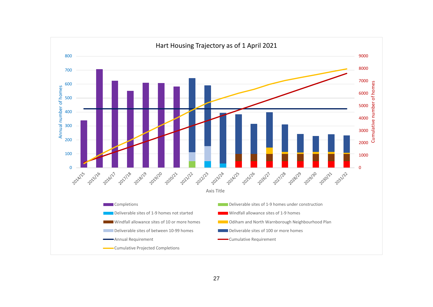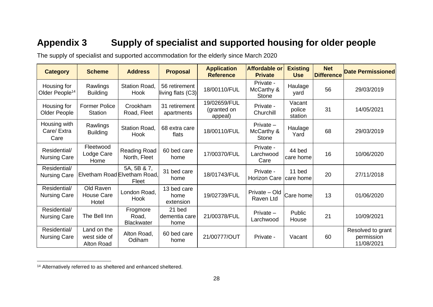## **Appendix 3 Supply of specialist and supported housing for older people**

The supply of specialist and supported accommodation for the elderly since March 2020

| <b>Category</b>                           | <b>Scheme</b>                                    | <b>Address</b>                                       | <b>Proposal</b>                      | <b>Application</b><br><b>Reference</b> | <b>Affordable or</b><br><b>Private</b>  | <b>Existing</b><br><b>Use</b> | <b>Net</b><br><b>Difference</b> | <b>Date Permissioned</b>                      |
|-------------------------------------------|--------------------------------------------------|------------------------------------------------------|--------------------------------------|----------------------------------------|-----------------------------------------|-------------------------------|---------------------------------|-----------------------------------------------|
| Housing for<br>Older People <sup>14</sup> | Rawlings<br><b>Building</b>                      | Station Road,<br>Hook                                | 56 retirement<br>living flats $(C3)$ | 18/00110/FUL                           | Private -<br>McCarthy &<br><b>Stone</b> | Haulage<br>yard               | 56                              | 29/03/2019                                    |
| Housing for<br><b>Older People</b>        | <b>Former Police</b><br><b>Station</b>           | Crookham<br>Road, Fleet                              | 31 retirement<br>apartments          | 19/02659/FUL<br>(granted on<br>appeal) | Private -<br>Churchill                  | Vacant<br>police<br>station   | 31                              | 14/05/2021                                    |
| Housing with<br>Care/ Extra<br>Care       | Rawlings<br><b>Building</b>                      | <b>Station Road.</b><br><b>Hook</b>                  | 68 extra care<br>flats               | 18/00110/FUL                           | Private $-$<br>McCarthy &<br>Stone      | Haulage<br>Yard               | 68                              | 29/03/2019                                    |
| Residential/<br><b>Nursing Care</b>       | Fleetwood<br>Lodge Care<br>Home                  | <b>Reading Road</b><br>North, Fleet                  | 60 bed care<br>home                  | 17/00370/FUL                           | Private -<br>Larchwood<br>Care          | 44 bed<br>care home           | 16                              | 10/06/2020                                    |
| Residential/<br><b>Nursing Care</b>       |                                                  | 5A, 5B & 7,<br>Elvetham Road Elvetham Road,<br>Fleet | 31 bed care<br>home                  | 18/01743/FUL                           | Private -<br>Horizon Care               | 11 bed<br>Icare home          | 20                              | 27/11/2018                                    |
| Residential/<br><b>Nursing Care</b>       | Old Raven<br><b>House Care</b><br>Hotel          | London Road,<br>Hook                                 | 13 bed care<br>home<br>extension     | 19/02739/FUL                           | Private - Old<br>Raven Ltd              | Care home                     | 13                              | 01/06/2020                                    |
| Residential/<br><b>Nursing Care</b>       | The Bell Inn                                     | Frogmore<br>Road,<br><b>Blackwater</b>               | 21 bed<br>dementia care<br>home      | 21/00378/FUL                           | Private $-$<br>Larchwood                | Public<br>House               | 21                              | 10/09/2021                                    |
| Residential/<br><b>Nursing Care</b>       | Land on the<br>west side of<br><b>Alton Road</b> | Alton Road,<br>Odiham                                | 60 bed care<br>home                  | 21/00777/OUT                           | Private -                               | Vacant                        | 60                              | Resolved to grant<br>permission<br>11/08/2021 |

<span id="page-30-0"></span><sup>14</sup> Alternatively referred to as sheltered and enhanced sheltered.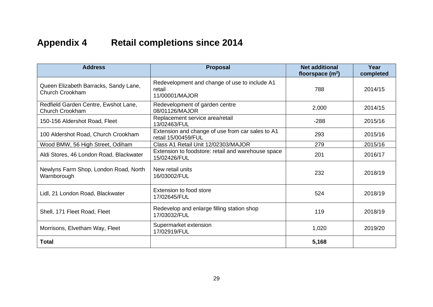## **Appendix 4 Retail completions since 2014**

<span id="page-31-0"></span>

| <b>Address</b>                                           | <b>Proposal</b>                                                           | <b>Net additional</b><br>floorspace $(m^2)$ | Year<br>completed |
|----------------------------------------------------------|---------------------------------------------------------------------------|---------------------------------------------|-------------------|
| Queen Elizabeth Barracks, Sandy Lane,<br>Church Crookham | Redevelopment and change of use to include A1<br>retail<br>11/00001/MAJOR | 788                                         | 2014/15           |
| Redfield Garden Centre, Ewshot Lane,<br>Church Crookham  | Redevelopment of garden centre<br>08/01126/MAJOR                          | 2,000                                       | 2014/15           |
| 150-156 Aldershot Road, Fleet                            | Replacement service area/retail<br>13/02463/FUL                           | $-288$                                      | 2015/16           |
| 100 Aldershot Road, Church Crookham                      | Extension and change of use from car sales to A1<br>retail 15/00459/FUL   | 293                                         | 2015/16           |
| Wood BMW, 56 High Street, Odiham                         | Class A1 Retail Unit 12/02303/MAJOR                                       | 279                                         | 2015/16           |
| Aldi Stores, 46 London Road, Blackwater                  | Extension to foodstore: retail and warehouse space<br>15/02426/FUL        | 201                                         | 2016/17           |
| Newlyns Farm Shop, London Road, North<br>Warnborough     | New retail units<br>16/03002/FUL                                          | 232                                         | 2018/19           |
| Lidl, 21 London Road, Blackwater                         | Extension to food store<br>17/02645/FUL                                   | 524                                         | 2018/19           |
| Shell, 171 Fleet Road, Fleet                             | Redevelop and enlarge filling station shop<br>17/03032/FUL                | 119                                         | 2018/19           |
| Morrisons, Elvetham Way, Fleet                           | Supermarket extension<br>17/02919/FUL                                     | 1,020                                       | 2019/20           |
| <b>Total</b>                                             |                                                                           | 5,168                                       |                   |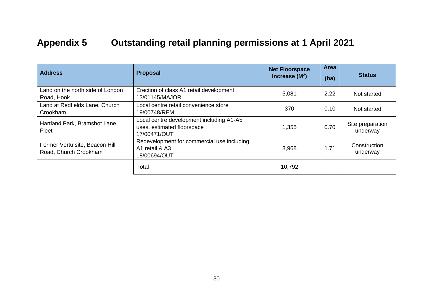## **Appendix 5 Outstanding retail planning permissions at 1 April 2021**

<span id="page-32-0"></span>

| <b>Address</b>                                          | <b>Proposal</b>                                                                        | <b>Net Floorspace</b><br>Increase $(M^2)$ | Area<br>(ha) | <b>Status</b>                |
|---------------------------------------------------------|----------------------------------------------------------------------------------------|-------------------------------------------|--------------|------------------------------|
| Land on the north side of London<br>Road, Hook          | Erection of class A1 retail development<br>13/01145/MAJOR                              | 5,081                                     | 2.22         | Not started                  |
| Land at Redfields Lane, Church<br>Crookham              | Local centre retail convenience store<br>19/00748/REM                                  | 370                                       | 0.10         | Not started                  |
| Hartland Park, Bramshot Lane,<br>Fleet                  | Local centre development including A1-A5<br>uses. estimated floorspace<br>17/00471/OUT | 1,355                                     | 0.70         | Site preparation<br>underway |
| Former Vertu site, Beacon Hill<br>Road, Church Crookham | Redevelopment for commercial use including<br>A1 retail & A3<br>18/00694/OUT           | 3,968                                     | 1.71         | Construction<br>underway     |
|                                                         | Total                                                                                  | 10,792                                    |              |                              |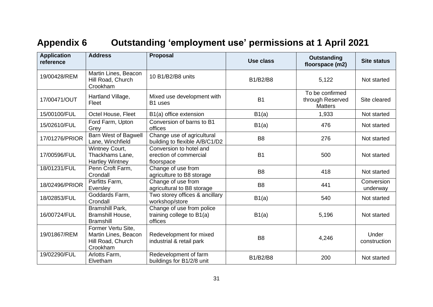## **Appendix 6 Outstanding 'employment use' permissions at 1 April 2021**

<span id="page-33-0"></span>

| <b>Application</b><br>reference | <b>Address</b>                                                              | <b>Proposal</b>                                                   | Use class      | <b>Outstanding</b><br>floorspace (m2)                 | <b>Site status</b>     |
|---------------------------------|-----------------------------------------------------------------------------|-------------------------------------------------------------------|----------------|-------------------------------------------------------|------------------------|
| 19/00428/REM                    | Martin Lines, Beacon<br>Hill Road, Church<br>Crookham                       | 10 B1/B2/B8 units                                                 | B1/B2/B8       | 5,122                                                 | Not started            |
| 17/00471/OUT                    | Hartland Village,<br>Fleet                                                  | Mixed use development with<br>B1 uses                             | <b>B1</b>      | To be confirmed<br>through Reserved<br><b>Matters</b> | Site cleared           |
| 15/00100/FUL                    | Octel House, Fleet                                                          | B1(a) office extension                                            | B1(a)          | 1,933                                                 | Not started            |
| 15/02610/FUL                    | Ford Farm, Upton<br>Grey                                                    | Conversion of barns to B1<br>offices                              | B1(a)          | 476                                                   | Not started            |
| 17/01276/PRIOR                  | Barn West of Bagwell<br>Lane, Winchfield                                    | Change use of agricultural<br>building to flexible A/B/C1/D2      | B <sub>8</sub> | 276                                                   | Not started            |
| 17/00596/FUL                    | Wintney Court,<br>Thackhams Lane,<br><b>Hartley Wintney</b>                 | Conversion to hotel and<br>erection of commercial<br>floorspace   | <b>B1</b>      | 500                                                   | Not started            |
| 18/01231/FUL                    | Penn Croft Farm,<br>Crondall                                                | Change of use from<br>agriculture to B8 storage                   | B <sub>8</sub> | 418                                                   | Not started            |
| 18/02496/PRIOR                  | Parfitts Farm,<br>Eversley                                                  | Change of use from<br>agricultural to B8 storage                  | B <sub>8</sub> | 441                                                   | Conversion<br>underway |
| 18/02853/FUL                    | Goddards Farm,<br>Crondall                                                  | Two storey offices & ancillary<br>workshop/store                  | B1(a)          | 540                                                   | Not started            |
| 16/00724/FUL                    | Bramshill Park,<br>Bramshill House,<br><b>Bramshill</b>                     | Change of use from police<br>training college to B1(a)<br>offices | B1(a)          | 5,196                                                 | Not started            |
| 19/01867/REM                    | Former Vertu Site,<br>Martin Lines, Beacon<br>Hill Road, Church<br>Crookham | Redevelopment for mixed<br>industrial & retail park               | B <sub>8</sub> | 4,246                                                 | Under<br>construction  |
| 19/02290/FUL                    | Arlotts Farm,<br>Elvetham                                                   | Redevelopment of farm<br>buildings for B1/2/8 unit                | B1/B2/B8       | 200                                                   | Not started            |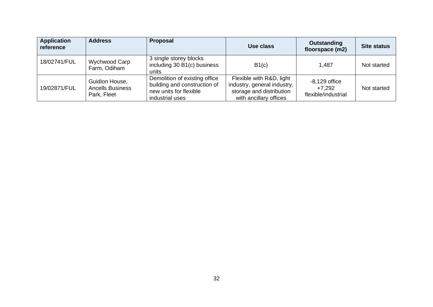| <b>Application</b><br>reference | <b>Address</b>                                           | Proposal                                                                                                   | Use class                                                                                                     | Outstanding<br>floorspace (m2)                   | <b>Site status</b> |
|---------------------------------|----------------------------------------------------------|------------------------------------------------------------------------------------------------------------|---------------------------------------------------------------------------------------------------------------|--------------------------------------------------|--------------------|
| 18/02741/FUL                    | Wychwood Carp<br>Farm, Odiham                            | 3 single storey blocks<br>including 30 B1(c) business<br>units                                             | B1(c)                                                                                                         | 1,487                                            | Not started        |
| 19/02871/FUL                    | Guidion House,<br><b>Ancells Business</b><br>Park, Fleet | Demolition of existing office<br>building and construction of<br>new units for flexible<br>industrial uses | Flexible with R&D, light<br>industry, general industry,<br>storage and distribution<br>with ancillary offices | $-8,129$ office<br>+7.292<br>flexible/industrial | Not started        |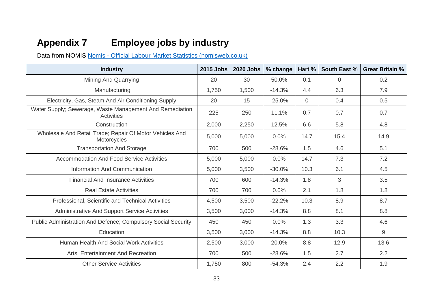## **Appendix 7 Employee jobs by industry**

Data from NOMIS Nomis - [Official Labour Market Statistics \(nomisweb.co.uk\)](https://www.nomisweb.co.uk/)

<span id="page-35-0"></span>

| <b>Industry</b>                                                         | 2015 Jobs | <b>2020 Jobs</b> | % change | Hart %         | <b>South East %</b> | <b>Great Britain %</b> |
|-------------------------------------------------------------------------|-----------|------------------|----------|----------------|---------------------|------------------------|
| Mining And Quarrying                                                    | 20        | 30               | 50.0%    | 0.1            | $\Omega$            | 0.2                    |
| Manufacturing                                                           | 1,750     | 1,500            | $-14.3%$ | 4.4            | 6.3                 | 7.9                    |
| Electricity, Gas, Steam And Air Conditioning Supply                     | 20        | 15               | $-25.0%$ | $\overline{0}$ | 0.4                 | 0.5                    |
| Water Supply; Sewerage, Waste Management And Remediation<br>Activities  | 225       | 250              | 11.1%    | 0.7            | 0.7                 | 0.7                    |
| Construction                                                            | 2,000     | 2,250            | 12.5%    | 6.6            | 5.8                 | 4.8                    |
| Wholesale And Retail Trade; Repair Of Motor Vehicles And<br>Motorcycles | 5,000     | 5,000            | 0.0%     | 14.7           | 15.4                | 14.9                   |
| <b>Transportation And Storage</b>                                       | 700       | 500              | $-28.6%$ | 1.5            | 4.6                 | 5.1                    |
| <b>Accommodation And Food Service Activities</b>                        | 5,000     | 5,000            | 0.0%     | 14.7           | 7.3                 | 7.2                    |
| Information And Communication                                           | 5,000     | 3,500            | $-30.0%$ | 10.3           | 6.1                 | 4.5                    |
| <b>Financial And Insurance Activities</b>                               | 700       | 600              | $-14.3%$ | 1.8            | 3                   | 3.5                    |
| <b>Real Estate Activities</b>                                           | 700       | 700              | 0.0%     | 2.1            | 1.8                 | 1.8                    |
| Professional, Scientific and Technical Activities                       | 4,500     | 3,500            | $-22.2%$ | 10.3           | 8.9                 | 8.7                    |
| <b>Administrative And Support Service Activities</b>                    | 3,500     | 3,000            | $-14.3%$ | 8.8            | 8.1                 | 8.8                    |
| Public Administration And Defence; Compulsory Social Security           | 450       | 450              | 0.0%     | 1.3            | 3.3                 | 4.6                    |
| Education                                                               | 3,500     | 3,000            | $-14.3%$ | 8.8            | 10.3                | 9                      |
| Human Health And Social Work Activities                                 | 2,500     | 3,000            | 20.0%    | 8.8            | 12.9                | 13.6                   |
| Arts, Entertainment And Recreation                                      | 700       | 500              | $-28.6%$ | 1.5            | 2.7                 | 2.2                    |
| <b>Other Service Activities</b>                                         | 1,750     | 800              | $-54.3%$ | 2.4            | 2.2                 | 1.9                    |